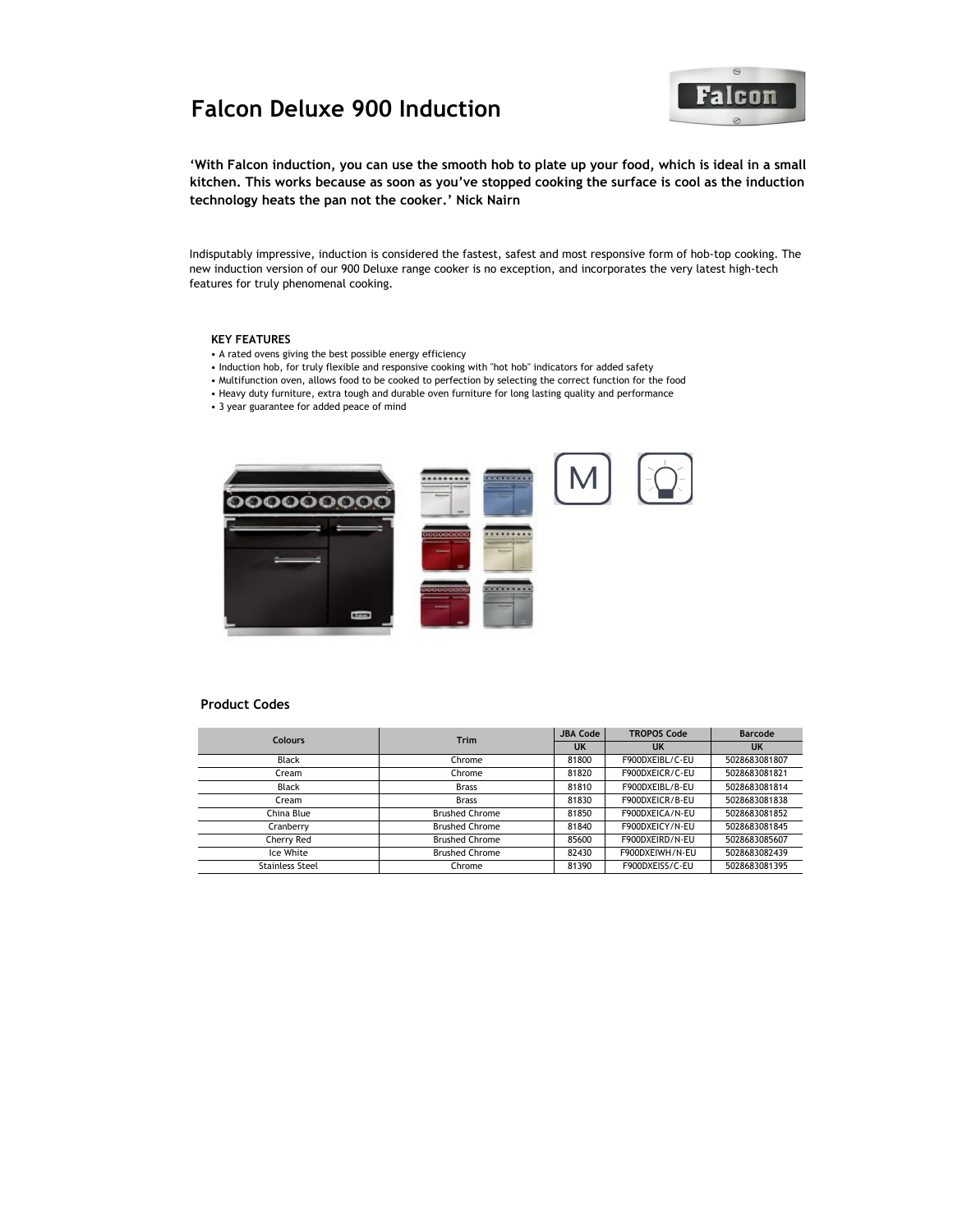# Falcon Deluxe 900 Induction **The Calculation**



'With Falcon induction, you can use the smooth hob to plate up your food, which is ideal in a small kitchen. This works because as soon as you've stopped cooking the surface is cool as the induction technology heats the pan not the cooker.' Nick Nairn

Indisputably impressive, induction is considered the fastest, safest and most responsive form of hob-top cooking. The new induction version of our 900 Deluxe range cooker is no exception, and incorporates the very latest high-tech features for truly phenomenal cooking.

#### KEY FEATURES

- A rated ovens giving the best possible energy efficiency
- Induction hob, for truly flexible and responsive cooking with "hot hob" indicators for added safety
- Multifunction oven, allows food to be cooked to perfection by selecting the correct function for the food
- Heavy duty furniture, extra tough and durable oven furniture for long lasting quality and performance
- 3 year guarantee for added peace of mind



#### Product Codes

| <b>Colours</b>         | <b>Trim</b>           | <b>JBA Code</b> | <b>TROPOS Code</b> | <b>Barcode</b> |
|------------------------|-----------------------|-----------------|--------------------|----------------|
|                        |                       | UK              | UK                 | <b>UK</b>      |
| Black                  | Chrome                | 81800           | F900DXEIBL/C-EU    | 5028683081807  |
| Cream                  | Chrome                | 81820           | F900DXEICR/C-EU    | 5028683081821  |
| Black                  | <b>Brass</b>          | 81810           | F900DXEIBL/B-EU    | 5028683081814  |
| Cream                  | <b>Brass</b>          | 81830           | F900DXEICR/B-EU    | 5028683081838  |
| China Blue             | <b>Brushed Chrome</b> | 81850           | F900DXEICA/N-EU    | 5028683081852  |
| Cranberry              | <b>Brushed Chrome</b> | 81840           | F900DXEICY/N-EU    | 5028683081845  |
| Cherry Red             | <b>Brushed Chrome</b> | 85600           | F900DXEIRD/N-EU    | 5028683085607  |
| Ice White              | <b>Brushed Chrome</b> | 82430           | F900DXEIWH/N-EU    | 5028683082439  |
| <b>Stainless Steel</b> | Chrome                | 81390           | F900DXEISS/C-EU    | 5028683081395  |